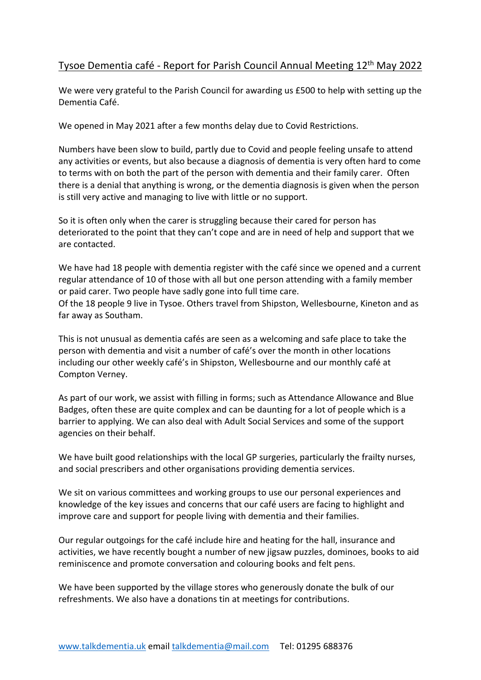## Tysoe Dementia café - Report for Parish Council Annual Meeting 12<sup>th</sup> May 2022

We were very grateful to the Parish Council for awarding us £500 to help with setting up the Dementia Café.

We opened in May 2021 after a few months delay due to Covid Restrictions.

Numbers have been slow to build, partly due to Covid and people feeling unsafe to attend any activities or events, but also because a diagnosis of dementia is very often hard to come to terms with on both the part of the person with dementia and their family carer. Often there is a denial that anything is wrong, or the dementia diagnosis is given when the person is still very active and managing to live with little or no support.

So it is often only when the carer is struggling because their cared for person has deteriorated to the point that they can't cope and are in need of help and support that we are contacted.

We have had 18 people with dementia register with the café since we opened and a current regular attendance of 10 of those with all but one person attending with a family member or paid carer. Two people have sadly gone into full time care.

Of the 18 people 9 live in Tysoe. Others travel from Shipston, Wellesbourne, Kineton and as far away as Southam.

This is not unusual as dementia cafés are seen as a welcoming and safe place to take the person with dementia and visit a number of café's over the month in other locations including our other weekly café's in Shipston, Wellesbourne and our monthly café at Compton Verney.

As part of our work, we assist with filling in forms; such as Attendance Allowance and Blue Badges, often these are quite complex and can be daunting for a lot of people which is a barrier to applying. We can also deal with Adult Social Services and some of the support agencies on their behalf.

We have built good relationships with the local GP surgeries, particularly the frailty nurses, and social prescribers and other organisations providing dementia services.

We sit on various committees and working groups to use our personal experiences and knowledge of the key issues and concerns that our café users are facing to highlight and improve care and support for people living with dementia and their families.

Our regular outgoings for the café include hire and heating for the hall, insurance and activities, we have recently bought a number of new jigsaw puzzles, dominoes, books to aid reminiscence and promote conversation and colouring books and felt pens.

We have been supported by the village stores who generously donate the bulk of our refreshments. We also have a donations tin at meetings for contributions.